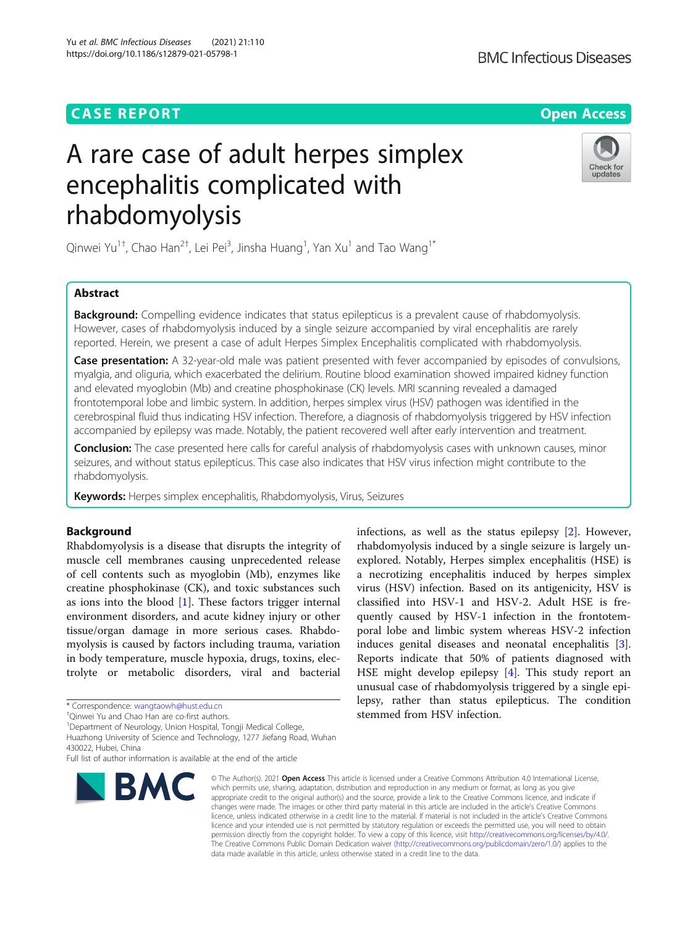# **CASE REPORT CASE ACCESS**

Yu et al. BMC Infectious Diseases (2021) 21:110 https://doi.org/10.1186/s12879-021-05798-1

# **BMC Infectious Diseases**

# A rare case of adult herpes simplex encephalitis complicated with rhabdomyolysis



Qinwei Yu<sup>1†</sup>, Chao Han<sup>2†</sup>, Lei Pei<sup>3</sup>, Jinsha Huang<sup>1</sup>, Yan Xu<sup>1</sup> and Tao Wang<sup>1\*</sup>

# Abstract

**Background:** Compelling evidence indicates that status epilepticus is a prevalent cause of rhabdomyolysis. However, cases of rhabdomyolysis induced by a single seizure accompanied by viral encephalitis are rarely reported. Herein, we present a case of adult Herpes Simplex Encephalitis complicated with rhabdomyolysis.

Case presentation: A 32-year-old male was patient presented with fever accompanied by episodes of convulsions, myalgia, and oliguria, which exacerbated the delirium. Routine blood examination showed impaired kidney function and elevated myoglobin (Mb) and creatine phosphokinase (CK) levels. MRI scanning revealed a damaged frontotemporal lobe and limbic system. In addition, herpes simplex virus (HSV) pathogen was identified in the cerebrospinal fluid thus indicating HSV infection. Therefore, a diagnosis of rhabdomyolysis triggered by HSV infection accompanied by epilepsy was made. Notably, the patient recovered well after early intervention and treatment.

Conclusion: The case presented here calls for careful analysis of rhabdomyolysis cases with unknown causes, minor seizures, and without status epilepticus. This case also indicates that HSV virus infection might contribute to the rhabdomyolysis.

Keywords: Herpes simplex encephalitis, Rhabdomyolysis, Virus, Seizures

# Background

Rhabdomyolysis is a disease that disrupts the integrity of muscle cell membranes causing unprecedented release of cell contents such as myoglobin (Mb), enzymes like creatine phosphokinase (CK), and toxic substances such as ions into the blood [\[1](#page-3-0)]. These factors trigger internal environment disorders, and acute kidney injury or other tissue/organ damage in more serious cases. Rhabdomyolysis is caused by factors including trauma, variation in body temperature, muscle hypoxia, drugs, toxins, electrolyte or metabolic disorders, viral and bacterial

<sup>1</sup>Department of Neurology, Union Hospital, Tongji Medical College,

Full list of author information is available at the end of the article



infections, as well as the status epilepsy [[2\]](#page-3-0). However, rhabdomyolysis induced by a single seizure is largely unexplored. Notably, Herpes simplex encephalitis (HSE) is a necrotizing encephalitis induced by herpes simplex virus (HSV) infection. Based on its antigenicity, HSV is classified into HSV-1 and HSV-2. Adult HSE is frequently caused by HSV-1 infection in the frontotemporal lobe and limbic system whereas HSV-2 infection induces genital diseases and neonatal encephalitis [\[3](#page-3-0)]. Reports indicate that 50% of patients diagnosed with HSE might develop epilepsy [[4](#page-3-0)]. This study report an unusual case of rhabdomyolysis triggered by a single epilepsy, rather than status epilepticus. The condition stemmed from HSV infection.

© The Author(s), 2021 **Open Access** This article is licensed under a Creative Commons Attribution 4.0 International License, which permits use, sharing, adaptation, distribution and reproduction in any medium or format, as long as you give appropriate credit to the original author(s) and the source, provide a link to the Creative Commons licence, and indicate if changes were made. The images or other third party material in this article are included in the article's Creative Commons licence, unless indicated otherwise in a credit line to the material. If material is not included in the article's Creative Commons licence and your intended use is not permitted by statutory regulation or exceeds the permitted use, you will need to obtain permission directly from the copyright holder. To view a copy of this licence, visit [http://creativecommons.org/licenses/by/4.0/.](http://creativecommons.org/licenses/by/4.0/) The Creative Commons Public Domain Dedication waiver [\(http://creativecommons.org/publicdomain/zero/1.0/](http://creativecommons.org/publicdomain/zero/1.0/)) applies to the data made available in this article, unless otherwise stated in a credit line to the data.

<sup>\*</sup> Correspondence: [wangtaowh@hust.edu.cn](mailto:wangtaowh@hust.edu.cn) †

<sup>&</sup>lt;sup>†</sup>Oinwei Yu and Chao Han are co-first authors.

Huazhong University of Science and Technology, 1277 Jiefang Road, Wuhan 430022, Hubei, China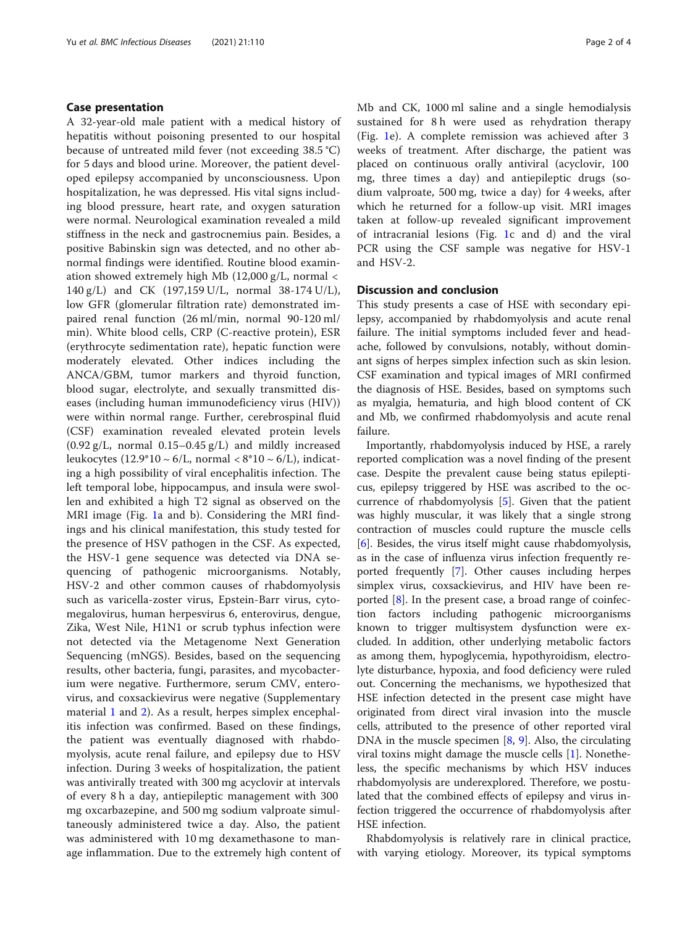# Case presentation

A 32-year-old male patient with a medical history of hepatitis without poisoning presented to our hospital because of untreated mild fever (not exceeding 38.5 °C) for 5 days and blood urine. Moreover, the patient developed epilepsy accompanied by unconsciousness. Upon hospitalization, he was depressed. His vital signs including blood pressure, heart rate, and oxygen saturation were normal. Neurological examination revealed a mild stiffness in the neck and gastrocnemius pain. Besides, a positive Babinskin sign was detected, and no other abnormal findings were identified. Routine blood examination showed extremely high Mb (12,000 g/L, normal < 140 g/L) and CK (197,159 U/L, normal 38-174 U/L), low GFR (glomerular filtration rate) demonstrated impaired renal function (26 ml/min, normal 90-120 ml/ min). White blood cells, CRP (C-reactive protein), ESR (erythrocyte sedimentation rate), hepatic function were moderately elevated. Other indices including the ANCA/GBM, tumor markers and thyroid function, blood sugar, electrolyte, and sexually transmitted diseases (including human immunodeficiency virus (HIV)) were within normal range. Further, cerebrospinal fluid (CSF) examination revealed elevated protein levels  $(0.92 \text{ g/L}$ , normal  $0.15-0.45 \text{ g/L}$  and mildly increased leukocytes (12.9\*10 ~ 6/L, normal <  $8*10$  ~ 6/L), indicating a high possibility of viral encephalitis infection. The left temporal lobe, hippocampus, and insula were swollen and exhibited a high T2 signal as observed on the MRI image (Fig. [1a](#page-3-0) and b). Considering the MRI findings and his clinical manifestation, this study tested for the presence of HSV pathogen in the CSF. As expected, the HSV-1 gene sequence was detected via DNA sequencing of pathogenic microorganisms. Notably, HSV-2 and other common causes of rhabdomyolysis such as varicella-zoster virus, Epstein-Barr virus, cytomegalovirus, human herpesvirus 6, enterovirus, dengue, Zika, West Nile, H1N1 or scrub typhus infection were not detected via the Metagenome Next Generation Sequencing (mNGS). Besides, based on the sequencing results, other bacteria, fungi, parasites, and mycobacterium were negative. Furthermore, serum CMV, enterovirus, and coxsackievirus were negative (Supplementary material [1](#page-3-0) and [2](#page-3-0)). As a result, herpes simplex encephalitis infection was confirmed. Based on these findings, the patient was eventually diagnosed with rhabdomyolysis, acute renal failure, and epilepsy due to HSV infection. During 3 weeks of hospitalization, the patient was antivirally treated with 300 mg acyclovir at intervals of every 8 h a day, antiepileptic management with 300 mg oxcarbazepine, and 500 mg sodium valproate simultaneously administered twice a day. Also, the patient was administered with 10 mg dexamethasone to manage inflammation. Due to the extremely high content of Mb and CK, 1000 ml saline and a single hemodialysis sustained for 8 h were used as rehydration therapy (Fig. [1e](#page-3-0)). A complete remission was achieved after 3 weeks of treatment. After discharge, the patient was placed on continuous orally antiviral (acyclovir, 100 mg, three times a day) and antiepileptic drugs (sodium valproate, 500 mg, twice a day) for 4 weeks, after which he returned for a follow-up visit. MRI images taken at follow-up revealed significant improvement of intracranial lesions (Fig. [1c](#page-3-0) and d) and the viral PCR using the CSF sample was negative for HSV-1 and HSV-2.

### Discussion and conclusion

This study presents a case of HSE with secondary epilepsy, accompanied by rhabdomyolysis and acute renal failure. The initial symptoms included fever and headache, followed by convulsions, notably, without dominant signs of herpes simplex infection such as skin lesion. CSF examination and typical images of MRI confirmed the diagnosis of HSE. Besides, based on symptoms such as myalgia, hematuria, and high blood content of CK and Mb, we confirmed rhabdomyolysis and acute renal failure.

Importantly, rhabdomyolysis induced by HSE, a rarely reported complication was a novel finding of the present case. Despite the prevalent cause being status epilepticus, epilepsy triggered by HSE was ascribed to the occurrence of rhabdomyolysis [[5\]](#page-3-0). Given that the patient was highly muscular, it was likely that a single strong contraction of muscles could rupture the muscle cells [[6\]](#page-3-0). Besides, the virus itself might cause rhabdomyolysis, as in the case of influenza virus infection frequently reported frequently [\[7](#page-3-0)]. Other causes including herpes simplex virus, coxsackievirus, and HIV have been reported [[8\]](#page-3-0). In the present case, a broad range of coinfection factors including pathogenic microorganisms known to trigger multisystem dysfunction were excluded. In addition, other underlying metabolic factors as among them, hypoglycemia, hypothyroidism, electrolyte disturbance, hypoxia, and food deficiency were ruled out. Concerning the mechanisms, we hypothesized that HSE infection detected in the present case might have originated from direct viral invasion into the muscle cells, attributed to the presence of other reported viral DNA in the muscle specimen [[8](#page-3-0), [9\]](#page-3-0). Also, the circulating viral toxins might damage the muscle cells [\[1](#page-3-0)]. Nonetheless, the specific mechanisms by which HSV induces rhabdomyolysis are underexplored. Therefore, we postulated that the combined effects of epilepsy and virus infection triggered the occurrence of rhabdomyolysis after HSE infection.

Rhabdomyolysis is relatively rare in clinical practice, with varying etiology. Moreover, its typical symptoms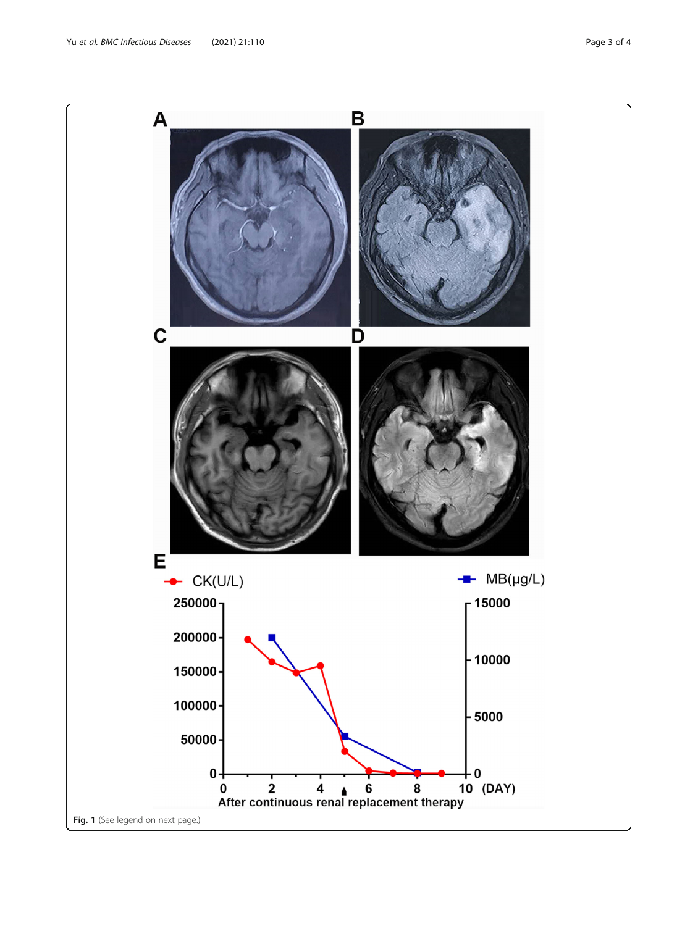Yu et al. BMC Infectious Diseases (2021) 21:110 example 3 of 4